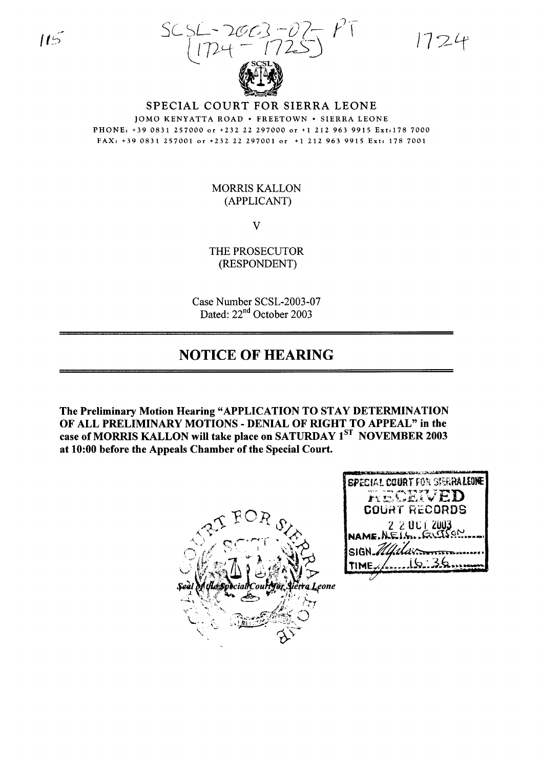5CSL- *J-G/GJ* '-D7~ *1)'1 <sup>J</sup> t7)'-t* - !72-~J  $1724 - 17$ 

1724



SPECIAL COURT FOR SIERRA LEONE lOMO KENYATTA ROAD' FREETOWN' SIERRA LEONE PHONE, +39 0831 257000 or +232 22 297000 or +1 212 963 9915 Ext:l78 7000 FAX, +390831257001 or +232 22 297001 or +1212963 9915 Ext, 1787001

## MORRIS KALLON (APPLICANT)

V

THE PROSECUTOR (RESPONDENT)

Case Number SCSL-2003-07 Dated: 22<sup>nd</sup> October 2003

## **NOTICE OF HEARING**

The Preliminary Motion Hearing "APPLICATION TO STAY DETERMINATION OF ALL PRELIMINARY MOTIONS - DENIAL OF RIGHT TO APPEAL" in the case of MORRIS KALLON will take place on SATURDAY 1ST NOVEMBER 2003 at 10:00 before the Appeals Chamber of the Special Court.



| <b>SPECIAL COURT FOR SEERRALEONE</b> |
|--------------------------------------|
| RECEIVED                             |
| <b>COURT RECORDS</b>                 |
| 2 2 UCT 2003                         |
| SIGN Mailor                          |
| $\tt{TIME}$                          |
|                                      |

 $115$